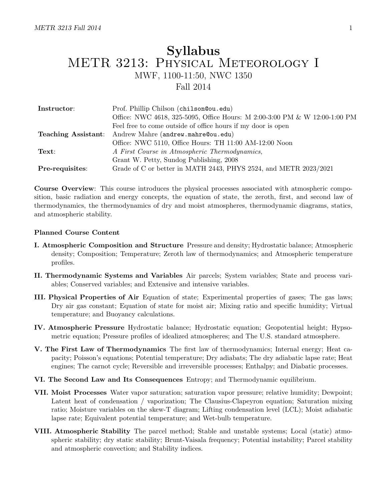# Syllabus METR 3213: Physical Meteorology I MWF, 1100-11:50, NWC 1350 Fall 2014

| Instructor:     | Prof. Phillip Chilson (chilson @ou.edu)                                    |
|-----------------|----------------------------------------------------------------------------|
|                 | Office: NWC 4618, 325-5095, Office Hours: M 2:00-3:00 PM & W 12:00-1:00 PM |
|                 | Feel free to come outside of office hours if my door is open               |
|                 | Teaching Assistant: Andrew Mahre (andrew.mahre@ou.edu)                     |
|                 | Office: NWC 5110, Office Hours: TH 11:00 AM-12:00 Noon                     |
| Text:           | A First Course in Atmospheric Thermodynamics,                              |
|                 | Grant W. Petty, Sundog Publishing, 2008                                    |
| Pre-requisites: | Grade of C or better in MATH 2443, PHYS 2524, and METR 2023/2021           |

Course Overview: This course introduces the physical processes associated with atmospheric composition, basic radiation and energy concepts, the equation of state, the zeroth, first, and second law of thermodynamics, the thermodynamics of dry and moist atmospheres, thermodynamic diagrams, statics, and atmospheric stability.

#### Planned Course Content

- I. Atmospheric Composition and Structure Pressure and density; Hydrostatic balance; Atmospheric density; Composition; Temperature; Zeroth law of thermodynamics; and Atmospheric temperature profiles.
- II. Thermodynamic Systems and Variables Air parcels; System variables; State and process variables; Conserved variables; and Extensive and intensive variables.
- III. Physical Properties of Air Equation of state; Experimental properties of gases; The gas laws; Dry air gas constant; Equation of state for moist air; Mixing ratio and specific humidity; Virtual temperature; and Buoyancy calculations.
- IV. Atmospheric Pressure Hydrostatic balance; Hydrostatic equation; Geopotential height; Hypsometric equation; Pressure profiles of idealized atmospheres; and The U.S. standard atmosphere.
- V. The First Law of Thermodynamics The first law of thermodynamics; Internal energy; Heat capacity; Poisson's equations; Potential temperature; Dry adiabats; The dry adiabatic lapse rate; Heat engines; The carnot cycle; Reversible and irreversible processes; Enthalpy; and Diabatic processes.
- VI. The Second Law and Its Consequences Entropy; and Thermodynamic equilibrium.
- VII. Moist Processes Water vapor saturation; saturation vapor pressure; relative humidity; Dewpoint; Latent heat of condensation / vaporization; The Clausius-Clapeyron equation; Saturation mixing ratio; Moisture variables on the skew-T diagram; Lifting condensation level (LCL); Moist adiabatic lapse rate; Equivalent potential temperature; and Wet-bulb temperature.
- VIII. Atmospheric Stability The parcel method; Stable and unstable systems; Local (static) atmospheric stability; dry static stability; Brunt-Vaisala frequency; Potential instability; Parcel stability and atmospheric convection; and Stability indices.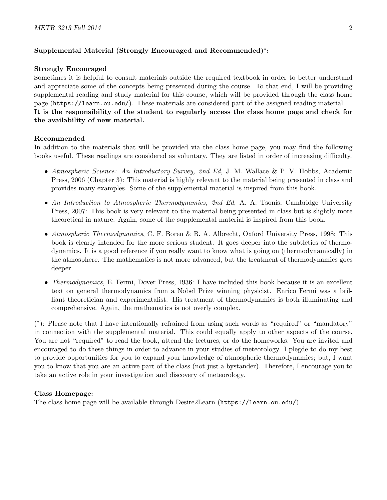# Supplemental Material (Strongly Encouraged and Recommended)<sup>∗</sup> :

#### Strongly Encouraged

Sometimes it is helpful to consult materials outside the required textbook in order to better understand and appreciate some of the concepts being presented during the course. To that end, I will be providing supplemental reading and study material for this course, which will be provided through the class home page (https://learn.ou.edu/). These materials are considered part of the assigned reading material. It is the responsibility of the student to regularly access the class home page and check for the availability of new material.

#### Recommended

In addition to the materials that will be provided via the class home page, you may find the following books useful. These readings are considered as voluntary. They are listed in order of increasing difficulty.

- Atmospheric Science: An Introductory Survey, 2nd Ed, J. M. Wallace & P. V. Hobbs, Academic Press, 2006 (Chapter 3): This material is highly relevant to the material being presented in class and provides many examples. Some of the supplemental material is inspired from this book.
- An Introduction to Atmospheric Thermodynamics, 2nd Ed, A. A. Tsonis, Cambridge University Press, 2007: This book is very relevant to the material being presented in class but is slightly more theoretical in nature. Again, some of the supplemental material is inspired from this book.
- Atmospheric Thermodynamics, C. F. Boren & B. A. Albrecht, Oxford University Press, 1998: This book is clearly intended for the more serious student. It goes deeper into the subtleties of thermodynamics. It is a good reference if you really want to know what is going on (thermodynamically) in the atmosphere. The mathematics is not more advanced, but the treatment of thermodynamics goes deeper.
- Thermodynamics, E. Fermi, Dover Press, 1936: I have included this book because it is an excellent text on general thermodynamics from a Nobel Prize winning physicist. Enrico Fermi was a brilliant theoretician and experimentalist. His treatment of thermodynamics is both illuminating and comprehensive. Again, the mathematics is not overly complex.

( ∗ ): Please note that I have intentionally refrained from using such words as "required" or "mandatory" in connection with the supplemental material. This could equally apply to other aspects of the course. You are not "required" to read the book, attend the lectures, or do the homeworks. You are invited and encouraged to do these things in order to advance in your studies of meteorology. I plegde to do my best to provide opportunities for you to expand your knowledge of atmospheric thermodynamics; but, I want you to know that you are an active part of the class (not just a bystander). Therefore, I encourage you to take an active role in your investigation and discovery of meteorology.

#### Class Homepage:

The class home page will be available through Desire2Learn (https://learn.ou.edu/)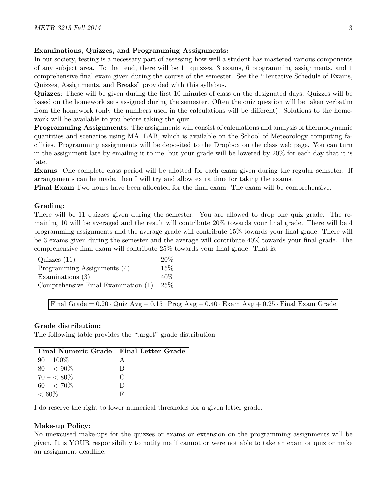# Examinations, Quizzes, and Programming Assignments:

In our society, testing is a necessary part of assessing how well a student has mastered various components of any subject area. To that end, there will be 11 quizzes, 3 exams, 6 programming assignments, and 1 comprehensive final exam given during the course of the semester. See the "Tentative Schedule of Exams, Quizzes, Assignments, and Breaks" provided with this syllabus.

Quizzes: These will be given during the first 10 minutes of class on the designated days. Quizzes will be based on the homework sets assigned during the semester. Often the quiz question will be taken verbatim from the homework (only the numbers used in the calculations will be different). Solutions to the homework will be available to you before taking the quiz.

Programming Assignments: The assignments will consist of calculations and analysis of thermodynamic quantities and scenarios using MATLAB, which is available on the School of Meteorology computing facilities. Programming assignments will be deposited to the Dropbox on the class web page. You can turn in the assignment late by emailing it to me, but your grade will be lowered by 20% for each day that it is late.

Exams: One complete class period will be allotted for each exam given during the regular semseter. If arrangements can be made, then I will try and allow extra time for taking the exams.

Final Exam Two hours have been allocated for the final exam. The exam will be comprehensive.

# Grading:

There will be 11 quizzes given during the semester. You are allowed to drop one quiz grade. The remaining 10 will be averaged and the result will contribute 20% towards your final grade. There will be 4 programming assignments and the average grade will contribute 15% towards your final grade. There will be 3 exams given during the semester and the average will contribute 40% towards your final grade. The comprehensive final exam will contribute 25% towards your final grade. That is:

| Quizzes(11)                         | 20\%   |
|-------------------------------------|--------|
| Programming Assignments (4)         | 15%    |
| Examinations $(3)$                  | 40%    |
| Comprehensive Final Examination (1) | $25\%$ |

Final Grade =  $0.20 \cdot$  Quiz Avg +  $0.15 \cdot$  Prog Avg +  $0.40 \cdot$  Exam Avg +  $0.25 \cdot$  Final Exam Grade

## Grade distribution:

The following table provides the "target" grade distribution

| Final Numeric Grade   Final Letter Grade |        |
|------------------------------------------|--------|
| $90 - 100\%$                             |        |
| $80 - 5.90\%$                            | В      |
| $70 - 5.80\%$                            | $\cap$ |
| $60 - 570\%$                             |        |
| $< 60\%$                                 |        |

I do reserve the right to lower numerical thresholds for a given letter grade.

## Make-up Policy:

No unexcused make-ups for the quizzes or exams or extension on the programming assignments will be given. It is YOUR responsibility to notify me if cannot or were not able to take an exam or quiz or make an assignment deadline.